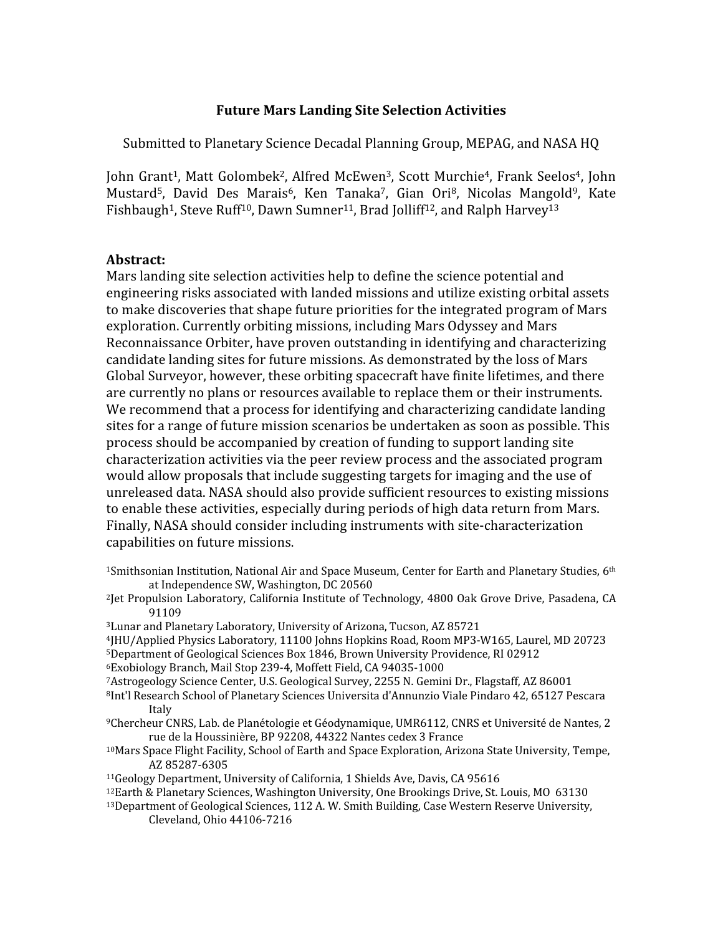# Future Mars Landing Site Selection Activities

Submitted to Planetary Science Decadal Planning Group, MEPAG, and NASA HQ

John Grant<sup>1</sup>, Matt Golombek<sup>2</sup>, Alfred McEwen<sup>3</sup>, Scott Murchie<sup>4</sup>, Frank Seelos<sup>4</sup>, John Mustard<sup>5</sup>, David Des Marais<sup>6</sup>, Ken Tanaka<sup>7</sup>, Gian Ori<sup>8</sup>, Nicolas Mangold<sup>9</sup>, Kate Fishbaugh<sup>1</sup>, Steve Ruff<sup>10</sup>, Dawn Sumner<sup>11</sup>, Brad Jolliff<sup>12</sup>, and Ralph Harvey<sup>13</sup>

# Abstract:

Mars landing site selection activities help to define the science potential and engineering risks associated with landed missions and utilize existing orbital assets to make discoveries that shape future priorities for the integrated program of Mars exploration. Currently orbiting missions, including Mars Odyssey and Mars Reconnaissance Orbiter, have proven outstanding in identifying and characterizing candidate landing sites for future missions. As demonstrated by the loss of Mars Global Surveyor, however, these orbiting spacecraft have finite lifetimes, and there are currently no plans or resources available to replace them or their instruments. We recommend that a process for identifying and characterizing candidate landing sites for a range of future mission scenarios be undertaken as soon as possible. This process should be accompanied by creation of funding to support landing site characterization activities via the peer review process and the associated program would allow proposals that include suggesting targets for imaging and the use of unreleased data. NASA should also provide sufficient resources to existing missions to enable these activities, especially during periods of high data return from Mars. Finally, NASA should consider including instruments with site-characterization capabilities on future missions.

- <sup>1</sup>Smithsonian Institution, National Air and Space Museum, Center for Earth and Planetary Studies, 6<sup>th</sup> at Independence SW, Washington, DC 20560
- <sup>2</sup>Jet Propulsion Laboratory, California Institute of Technology, 4800 Oak Grove Drive, Pasadena, CA 91109
- <sup>3</sup>Lunar and Planetary Laboratory, University of Arizona, Tucson, AZ 85721
- <sup>4</sup>JHU/Applied Physics Laboratory, 11100 Johns Hopkins Road, Room MP3-W165, Laurel, MD 20723
- <sup>5</sup>Department of Geological Sciences Box 1846, Brown University Providence, RI 02912
- <sup>6</sup>Exobiology Branch, Mail Stop 239-4, Moffett Field, CA 94035-1000
- <sup>7</sup>Astrogeology Science Center, U.S. Geological Survey, 2255 N. Gemini Dr., Flagstaff, AZ 86001
- <sup>8</sup>Int'l Research School of Planetary Sciences Universita d'Annunzio Viale Pindaro 42, 65127 Pescara Italy
- <sup>9</sup>Chercheur CNRS, Lab. de Planétologie et Géodynamique, UMR6112, CNRS et Université de Nantes, 2 rue de la Houssinière, BP 92208, 44322 Nantes cedex 3 France
- <sup>10</sup>Mars Space Flight Facility, School of Earth and Space Exploration, Arizona State University, Tempe, AZ 85287-6305
- <sup>11</sup>Geology Department, University of California, 1 Shields Ave, Davis, CA 95616
- 12Earth & Planetary Sciences, Washington University, One Brookings Drive, St. Louis, MO 63130
- <sup>13</sup>Department of Geological Sciences, 112 A. W. Smith Building, Case Western Reserve University, Cleveland, Ohio 44106-7216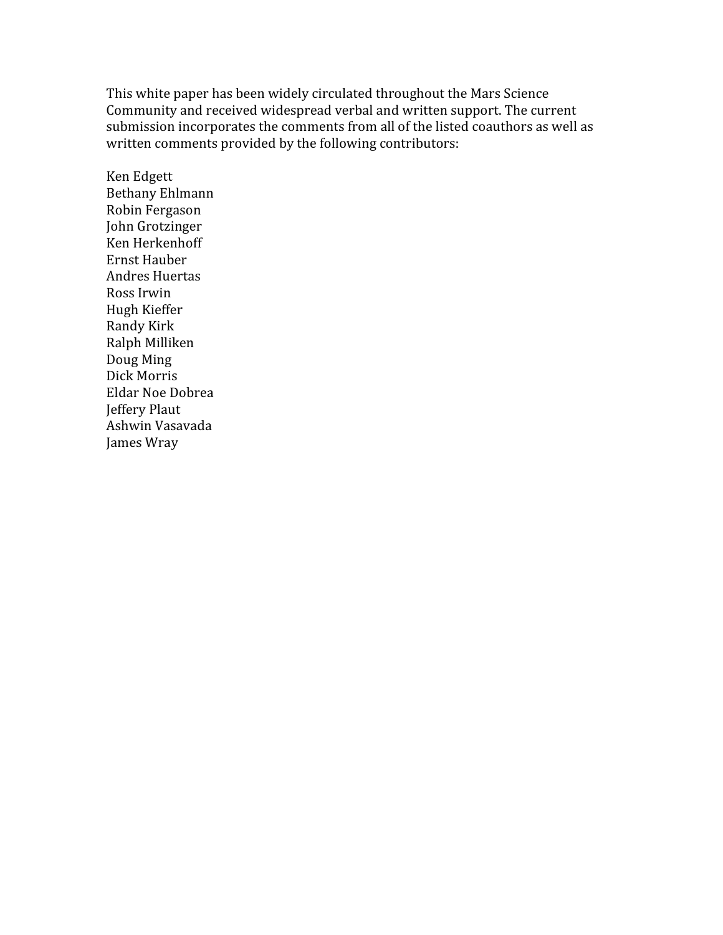This white paper has been widely circulated throughout the Mars Science Community and received widespread verbal and written support. The current submission incorporates the comments from all of the listed coauthors as well as written comments provided by the following contributors:

Ken Edgett Bethany Ehlmann Robin Fergason John Grotzinger Ken Herkenhoff Ernst Hauber Andres Huertas Ross Irwin Hugh Kieffer Randy Kirk Ralph Milliken Doug Ming Dick Morris Eldar Noe Dobrea Jeffery Plaut Ashwin Vasavada James Wray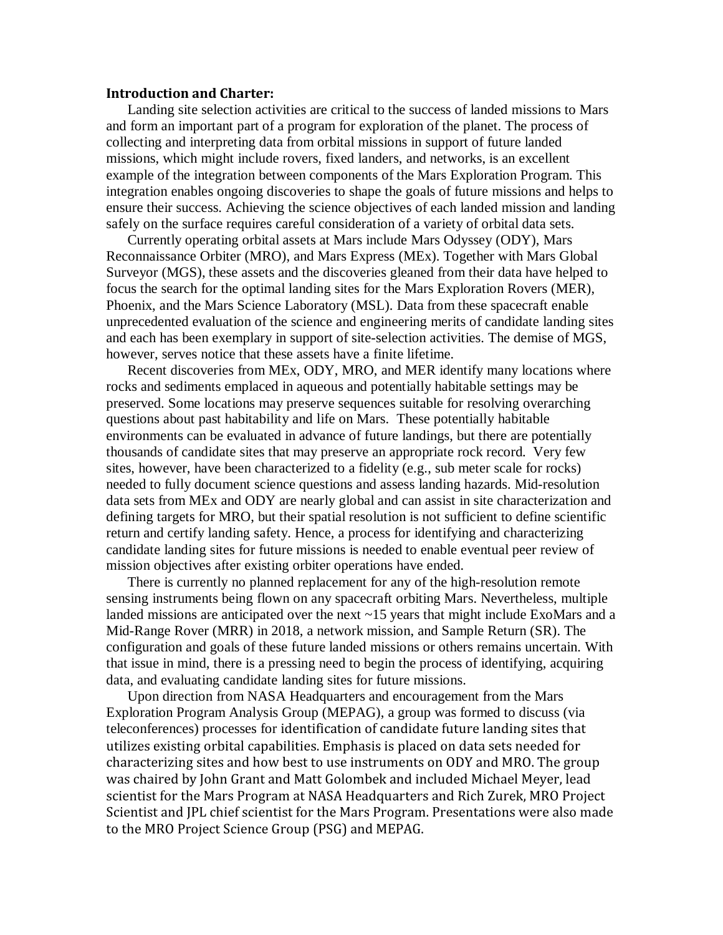### Introduction and Charter:

Landing site selection activities are critical to the success of landed missions to Mars and form an important part of a program for exploration of the planet. The process of collecting and interpreting data from orbital missions in support of future landed missions, which might include rovers, fixed landers, and networks, is an excellent example of the integration between components of the Mars Exploration Program. This integration enables ongoing discoveries to shape the goals of future missions and helps to ensure their success. Achieving the science objectives of each landed mission and landing safely on the surface requires careful consideration of a variety of orbital data sets.

Currently operating orbital assets at Mars include Mars Odyssey (ODY), Mars Reconnaissance Orbiter (MRO), and Mars Express (MEx). Together with Mars Global Surveyor (MGS), these assets and the discoveries gleaned from their data have helped to focus the search for the optimal landing sites for the Mars Exploration Rovers (MER), Phoenix, and the Mars Science Laboratory (MSL). Data from these spacecraft enable unprecedented evaluation of the science and engineering merits of candidate landing sites and each has been exemplary in support of site-selection activities. The demise of MGS, however, serves notice that these assets have a finite lifetime.

Recent discoveries from MEx, ODY, MRO, and MER identify many locations where rocks and sediments emplaced in aqueous and potentially habitable settings may be preserved. Some locations may preserve sequences suitable for resolving overarching questions about past habitability and life on Mars. These potentially habitable environments can be evaluated in advance of future landings, but there are potentially thousands of candidate sites that may preserve an appropriate rock record. Very few sites, however, have been characterized to a fidelity (e.g., sub meter scale for rocks) needed to fully document science questions and assess landing hazards. Mid-resolution data sets from MEx and ODY are nearly global and can assist in site characterization and defining targets for MRO, but their spatial resolution is not sufficient to define scientific return and certify landing safety. Hence, a process for identifying and characterizing candidate landing sites for future missions is needed to enable eventual peer review of mission objectives after existing orbiter operations have ended.

There is currently no planned replacement for any of the high-resolution remote sensing instruments being flown on any spacecraft orbiting Mars. Nevertheless, multiple landed missions are anticipated over the next ~15 years that might include ExoMars and a Mid-Range Rover (MRR) in 2018, a network mission, and Sample Return (SR). The configuration and goals of these future landed missions or others remains uncertain. With that issue in mind, there is a pressing need to begin the process of identifying, acquiring data, and evaluating candidate landing sites for future missions.

Upon direction from NASA Headquarters and encouragement from the Mars Exploration Program Analysis Group (MEPAG), a group was formed to discuss (via teleconferences) processes for identification of candidate future landing sites that utilizes existing orbital capabilities. Emphasis is placed on data sets needed for characterizing sites and how best to use instruments on ODY and MRO. The group was chaired by John Grant and Matt Golombek and included Michael Meyer, lead scientist for the Mars Program at NASA Headquarters and Rich Zurek, MRO Project Scientist and JPL chief scientist for the Mars Program. Presentations were also made to the MRO Project Science Group (PSG) and MEPAG.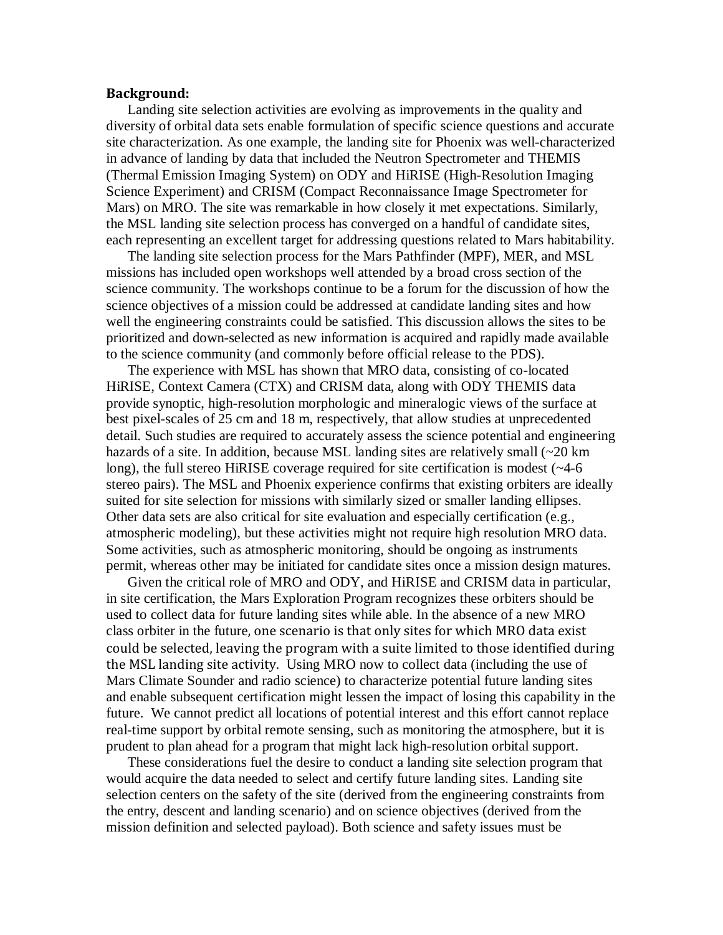### Background:

Landing site selection activities are evolving as improvements in the quality and diversity of orbital data sets enable formulation of specific science questions and accurate site characterization. As one example, the landing site for Phoenix was well-characterized in advance of landing by data that included the Neutron Spectrometer and THEMIS (Thermal Emission Imaging System) on ODY and HiRISE (High-Resolution Imaging Science Experiment) and CRISM (Compact Reconnaissance Image Spectrometer for Mars) on MRO. The site was remarkable in how closely it met expectations. Similarly, the MSL landing site selection process has converged on a handful of candidate sites, each representing an excellent target for addressing questions related to Mars habitability.

The landing site selection process for the Mars Pathfinder (MPF), MER, and MSL missions has included open workshops well attended by a broad cross section of the science community. The workshops continue to be a forum for the discussion of how the science objectives of a mission could be addressed at candidate landing sites and how well the engineering constraints could be satisfied. This discussion allows the sites to be prioritized and down-selected as new information is acquired and rapidly made available to the science community (and commonly before official release to the PDS).

The experience with MSL has shown that MRO data, consisting of co-located HiRISE, Context Camera (CTX) and CRISM data, along with ODY THEMIS data provide synoptic, high-resolution morphologic and mineralogic views of the surface at best pixel-scales of 25 cm and 18 m, respectively, that allow studies at unprecedented detail. Such studies are required to accurately assess the science potential and engineering hazards of a site. In addition, because MSL landing sites are relatively small  $\sim 20 \text{ km}$ long), the full stereo HiRISE coverage required for site certification is modest (~4-6 stereo pairs). The MSL and Phoenix experience confirms that existing orbiters are ideally suited for site selection for missions with similarly sized or smaller landing ellipses. Other data sets are also critical for site evaluation and especially certification (e.g., atmospheric modeling), but these activities might not require high resolution MRO data. Some activities, such as atmospheric monitoring, should be ongoing as instruments permit, whereas other may be initiated for candidate sites once a mission design matures.

Given the critical role of MRO and ODY, and HiRISE and CRISM data in particular, in site certification, the Mars Exploration Program recognizes these orbiters should be used to collect data for future landing sites while able. In the absence of a new MRO class orbiter in the future, one scenario is that only sites for which MRO data exist could be selected, leaving the program with a suite limited to those identified during the MSL landing site activity. Using MRO now to collect data (including the use of Mars Climate Sounder and radio science) to characterize potential future landing sites and enable subsequent certification might lessen the impact of losing this capability in the future. We cannot predict all locations of potential interest and this effort cannot replace real-time support by orbital remote sensing, such as monitoring the atmosphere, but it is prudent to plan ahead for a program that might lack high-resolution orbital support.

These considerations fuel the desire to conduct a landing site selection program that would acquire the data needed to select and certify future landing sites. Landing site selection centers on the safety of the site (derived from the engineering constraints from the entry, descent and landing scenario) and on science objectives (derived from the mission definition and selected payload). Both science and safety issues must be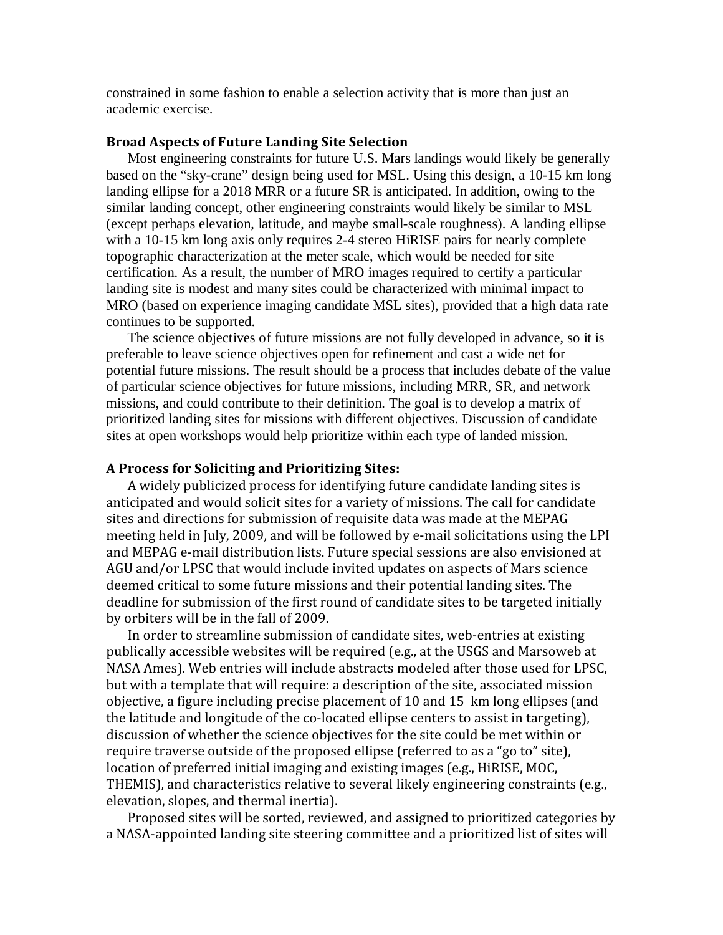constrained in some fashion to enable a selection activity that is more than just an academic exercise.

### Broad Aspects of Future Landing Site Selection

Most engineering constraints for future U.S. Mars landings would likely be generally based on the "sky-crane" design being used for MSL. Using this design, a 10-15 km long landing ellipse for a 2018 MRR or a future SR is anticipated. In addition, owing to the similar landing concept, other engineering constraints would likely be similar to MSL (except perhaps elevation, latitude, and maybe small-scale roughness). A landing ellipse with a 10-15 km long axis only requires 2-4 stereo HiRISE pairs for nearly complete topographic characterization at the meter scale, which would be needed for site certification. As a result, the number of MRO images required to certify a particular landing site is modest and many sites could be characterized with minimal impact to MRO (based on experience imaging candidate MSL sites), provided that a high data rate continues to be supported.

The science objectives of future missions are not fully developed in advance, so it is preferable to leave science objectives open for refinement and cast a wide net for potential future missions. The result should be a process that includes debate of the value of particular science objectives for future missions, including MRR, SR, and network missions, and could contribute to their definition. The goal is to develop a matrix of prioritized landing sites for missions with different objectives. Discussion of candidate sites at open workshops would help prioritize within each type of landed mission.

#### A Process for Soliciting and Prioritizing Sites:

A widely publicized process for identifying future candidate landing sites is anticipated and would solicit sites for a variety of missions. The call for candidate sites and directions for submission of requisite data was made at the MEPAG meeting held in July, 2009, and will be followed by e-mail solicitations using the LPI and MEPAG e-mail distribution lists. Future special sessions are also envisioned at AGU and/or LPSC that would include invited updates on aspects of Mars science deemed critical to some future missions and their potential landing sites. The deadline for submission of the first round of candidate sites to be targeted initially by orbiters will be in the fall of 2009.

In order to streamline submission of candidate sites, web-entries at existing publically accessible websites will be required (e.g., at the USGS and Marsoweb at NASA Ames). Web entries will include abstracts modeled after those used for LPSC, but with a template that will require: a description of the site, associated mission objective, a figure including precise placement of 10 and 15 km long ellipses (and the latitude and longitude of the co-located ellipse centers to assist in targeting), discussion of whether the science objectives for the site could be met within or require traverse outside of the proposed ellipse (referred to as a "go to" site), location of preferred initial imaging and existing images (e.g., HiRISE, MOC, THEMIS), and characteristics relative to several likely engineering constraints (e.g., elevation, slopes, and thermal inertia).

Proposed sites will be sorted, reviewed, and assigned to prioritized categories by a NASA-appointed landing site steering committee and a prioritized list of sites will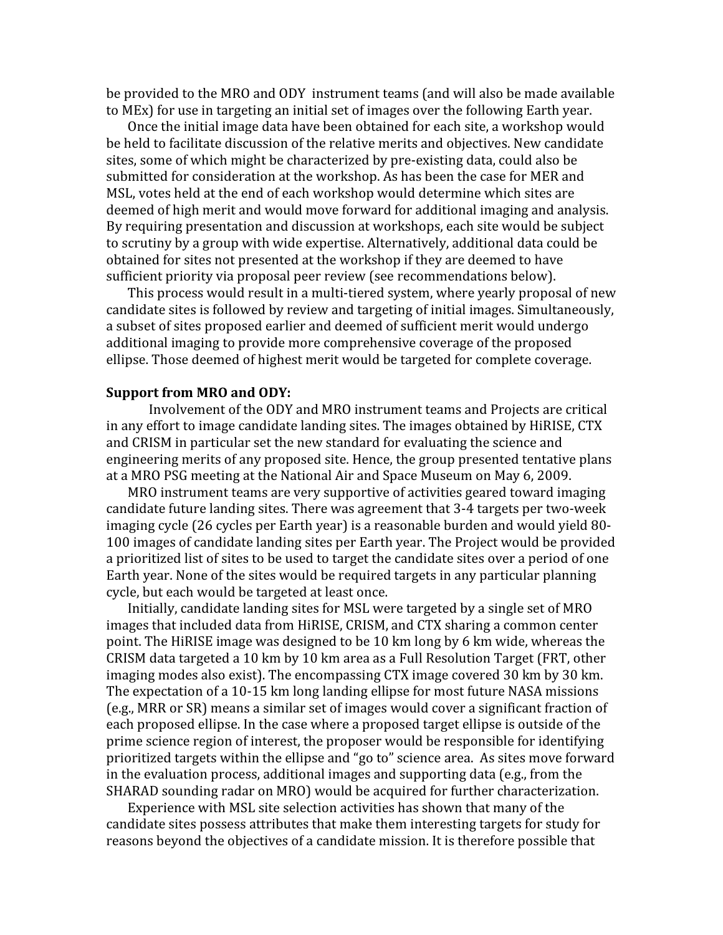be provided to the MRO and ODY instrument teams (and will also be made available to MEx) for use in targeting an initial set of images over the following Earth year.

Once the initial image data have been obtained for each site, a workshop would be held to facilitate discussion of the relative merits and objectives. New candidate sites, some of which might be characterized by pre-existing data, could also be submitted for consideration at the workshop. As has been the case for MER and MSL, votes held at the end of each workshop would determine which sites are deemed of high merit and would move forward for additional imaging and analysis. By requiring presentation and discussion at workshops, each site would be subject to scrutiny by a group with wide expertise. Alternatively, additional data could be obtained for sites not presented at the workshop if they are deemed to have sufficient priority via proposal peer review (see recommendations below).

This process would result in a multi-tiered system, where yearly proposal of new candidate sites is followed by review and targeting of initial images. Simultaneously, a subset of sites proposed earlier and deemed of sufficient merit would undergo additional imaging to provide more comprehensive coverage of the proposed ellipse. Those deemed of highest merit would be targeted for complete coverage.

#### Support from MRO and ODY:

 Involvement of the ODY and MRO instrument teams and Projects are critical in any effort to image candidate landing sites. The images obtained by HiRISE, CTX and CRISM in particular set the new standard for evaluating the science and engineering merits of any proposed site. Hence, the group presented tentative plans at a MRO PSG meeting at the National Air and Space Museum on May 6, 2009.

MRO instrument teams are very supportive of activities geared toward imaging candidate future landing sites. There was agreement that 3-4 targets per two-week imaging cycle (26 cycles per Earth year) is a reasonable burden and would yield 80- 100 images of candidate landing sites per Earth year. The Project would be provided a prioritized list of sites to be used to target the candidate sites over a period of one Earth year. None of the sites would be required targets in any particular planning cycle, but each would be targeted at least once.

Initially, candidate landing sites for MSL were targeted by a single set of MRO images that included data from HiRISE, CRISM, and CTX sharing a common center point. The HiRISE image was designed to be 10 km long by 6 km wide, whereas the CRISM data targeted a 10 km by 10 km area as a Full Resolution Target (FRT, other imaging modes also exist). The encompassing CTX image covered 30 km by 30 km. The expectation of a 10-15 km long landing ellipse for most future NASA missions (e.g., MRR or SR) means a similar set of images would cover a significant fraction of each proposed ellipse. In the case where a proposed target ellipse is outside of the prime science region of interest, the proposer would be responsible for identifying prioritized targets within the ellipse and "go to" science area. As sites move forward in the evaluation process, additional images and supporting data (e.g., from the SHARAD sounding radar on MRO) would be acquired for further characterization.

Experience with MSL site selection activities has shown that many of the candidate sites possess attributes that make them interesting targets for study for reasons beyond the objectives of a candidate mission. It is therefore possible that